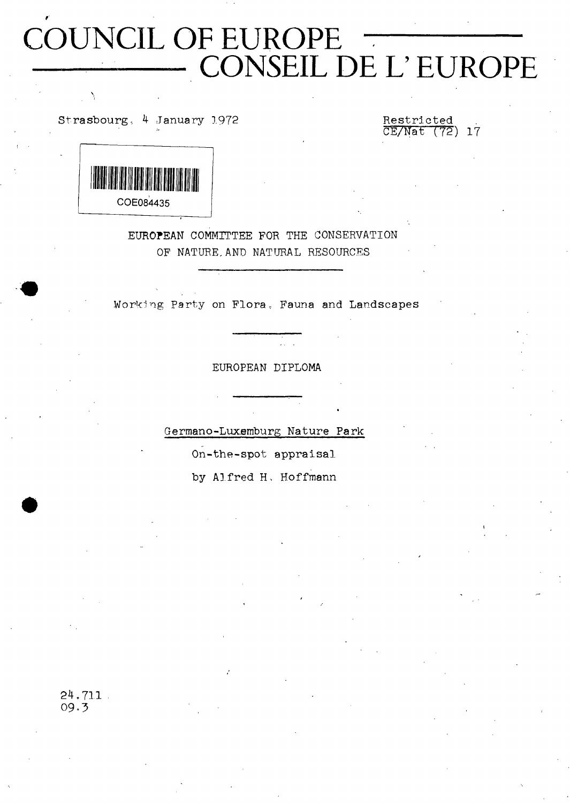# **COUNCIL OF EUROPE CONSEIL DE L' EUROPE**

Strasbourg, 4 January 1972

**CE/Nat (72) 17**



**EUROPEAN COMMITTEE FOR THE CONSERVATION OF NATURE,AND NATURAL RESOURCES**

**Working Party on Flora, Fauna and Landscapes**

**EUROPEAN DIPLOMA**

**Germano-Luxemburg Nature Park**

**On-the-spot appraisal**

**by Alfred H, Hoffmann**

**24.711 09.5**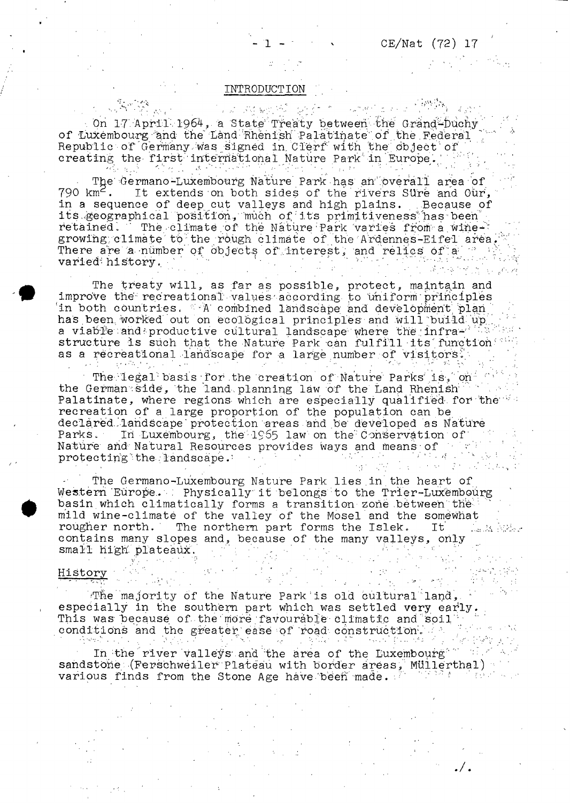$\mathcal{O}(\mathcal{E}^{\mathcal{E}})$  , where  $\mathcal{E}^{\mathcal{E}}$ 

#### **INTRODUCTION**

 $\label{eq:3.1} \frac{1}{2}\int_{\mathbb{R}^{2}}\frac{1}{2}d\theta_{1}^{2}\frac{d\theta_{2}}{d\theta_{1}}\frac{d\theta_{2}}{d\theta_{2}}\frac{d\theta_{1}}{d\theta_{2}}\frac{d\theta_{2}}{d\theta_{2}}\frac{d\theta_{2}}{d\theta_{2}}\frac{d\theta_{2}}{d\theta_{2}}\frac{d\theta_{2}}{d\theta_{2}}\frac{d\theta_{2}}{d\theta_{2}}\frac{d\theta_{2}}{d\theta_{2}}\frac{d\theta_{2}}{d\theta_{2}}\frac{d\theta_{2}}{d\theta_{2}}\frac$ 12 网络欧洲 经行为 On 17 April 1964, a State Treaty between the Grand-Duchy of Luxembourg and the Land Rhenish Palatinate of the Federal <sub>V</sub> Republic of Germany was signed in Clerf with the object of creating the first international Nature Park in Europe.

The Germano-Luxembourg Nature Park has an overall area of **790 km2 . It extends on both sides of the'rivers SU'rè and Our,** in a sequence of deep cut valleys and high plains. . Because of its geographical position, much of its primitiveness has been retained. The climate of the Nature Park varies from a wine-' growing climate to the rough climate of the Ardennes-Eifel area, **There are .a -number of objects of' interest, and relics of a- "/ varied<sup>,</sup> history. (1)** is the set of the set of the set of the set of the set of the set of the set of the set of the set of the set of the set of the set of the set of the set of the set of the set of the set of the set

**The treaty will, as far as possible, protect, maintain and improve the recreational' values- according to Uniform ' principles** in both countries. **A** combined landscape and development plan **has been worked out on ecological principles and will bui Id up . a viable and productive cultural landscape where the infra-'**  $\cdot$  **: structure is such that the Nature Park can fui fill its function as a recreational landscape for a large number of visitors !**

The legal basis for the creation of Nature Parks is, on **the German side, the land.planning law of the Land Rhenish ' ! Palatinate, where regions which are especially quaii.fied for the recreation of a large proportion of the population can be declared landscape'protection areas and be developed as Nature** Parks. In Luxembourg, the 1965 law on the Conservation of Nature and Natural Resources provides ways and means of  $\cdots$  ; **protecting the landscape. protecting the landscape.**  $\cdots$  ,  $\cdots$  is a set of the  $\cdots$  is the set of the  $\cdots$ 

**The Germano-Luxembourg Nature Park lies.in.the heart of Vie sterri 'Europe. : Physically it belongs to the Trier -Luxe mb ou rg basin which climatically forms a transition zone between the mild wine-climaté of the valley of the Mosel and the soméwhat** The northern part forms the Islek. La Monther contains many slopes and, because of the many valleys, only small high plateaux. small high plateaux.

# **History** '  $\frac{1}{2}$  . The set of  $\frac{1}{2}$  ,  $\frac{1}{2}$  ,  $\frac{1}{2}$  ,  $\frac{1}{2}$  ,  $\frac{1}{2}$  ,  $\frac{1}{2}$  ,  $\frac{1}{2}$  ,  $\frac{1}{2}$  ,  $\frac{1}{2}$  ,  $\frac{1}{2}$  ,  $\frac{1}{2}$  ,  $\frac{1}{2}$  ,  $\frac{1}{2}$  ,  $\frac{1}{2}$  ,  $\frac{1}{2}$  ,  $\frac{1}{2$

**iThe"majority of the Nature Park, is old cultural land, ' especially in the southern part which was settled very early. ,** This was because of the more favourable climatic and soil **conditions and the greater'ease of road construction/**

In the river valleys and the area of the Luxembourg<sup>\*</sup> sandstone (Ferschweiler Plateau with border areas, Müllerthal) various finds from the Stone Age have been made. Full all the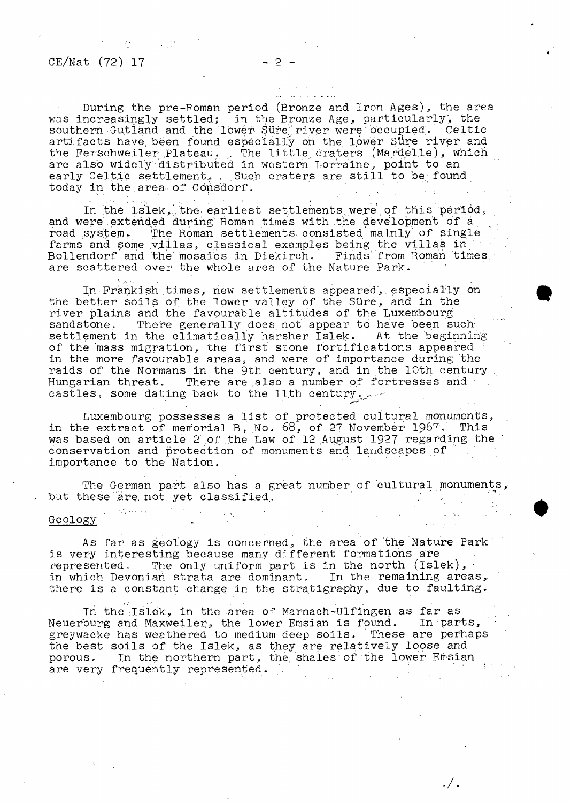## $CE/Nat$  (72) 17

**During the pre-Roman period (Bronze and Iron Ages), the area was increasingly settled] in the Bronze Age, particularly, the southern Gutland and the lower Sure;, river were occupied . Celtic artifacts have, been found especially on the lower Süre river and** the Ferschweiler Plateau. The little craters (Mardelle), which **are also widely distributed in western Lorraine, point to an** early Celtic settlement. Such craters are still to be found today in the area of Consdorf.

- 2 -

**In tbe Islek, the earliest settlements were of this period,** and were extended during Roman times with the development of a<br>road system. The Roman settlements consisted mainly of single The Roman settlements consisted mainly of single farms and some villas, classical examples being the villas in **Bollendorf and the mosaics in Diekirch. Finds' from Roman times,** are scattered over the whole area of the Nature Park.

**In Frankish.times, new settlements appeared,. especially on the better soils of the lower valley of the Süre, and in the river plains and the favourable altitudes of the Luxembourg sandstone. There generally does not appear to have been such settlement in the climatically harsher Islek- At the beginning of the mass migration, the first stone fortifications appeared in the more favourable areas, and were of importance during the** raids of the Normans in the 9th century, and in the 10th century **Hungarian threat. There are also a number of fortresses and** castles, some dating back to the llth century.

**Luxembourg possesses a list of protected cultural monuments, in the extract of memorial B, No. 68, of 27 November 1967-, This was based on article 2 of the Law of 12 August 1927 regarding the conservation and protection of monuments and landscapes of importance to the Nation.**

**The German, part also has a great number of cultural monuments** but these are not yet classified,

#### **Geology**

**As far as geology is concerned, the area of the Nature Park is very interesting because many different formations are** represented. The only uniform part is in the north (Islek), **in which Devonian strata are dominant. In the remaining areas,,** there is a constant change in the stratigraphy, due to faulting.

**In the Jslek, in the area of Marnach-Ulfingen as far as Neuerburg and Maxweiler, the lower Emsian is found. In parts, greywacke has weathered to medium deep soils. These are perhaps the best soils of the Islek, as they are relatively loose and porous. In the northern part, the, shales of the lower Emsian** are very frequently represented.

. / .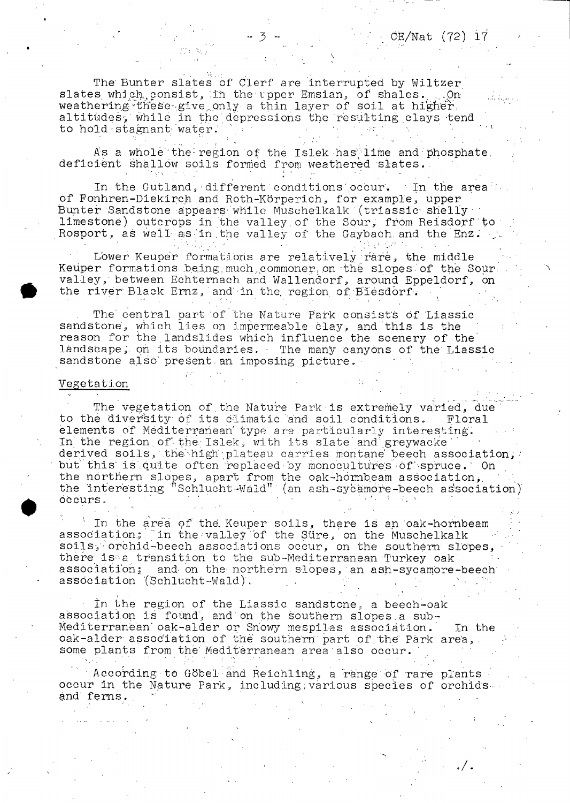$CE/Nat$  (72) 17

**The' Bunter slates of Clerf are Interrupted by Wiltzer slates which,, consist, :ih the'upper Emsian, of shales. ....On** weathering these give only a thin layer of soil at higher, **altitudes-, while in the ' depressions the resulting .clays -tend** to hold stagnant water.

As a whole the region of the Islek has lime and phosphate. **deficient shallow soils formed from weathered slates..**

**In the Gutland, • different conditions' occur'. 'In the area of Fonhren-Diekireh and Roth-Körperich, for example, upper** Bunter Sandstone appears while Muschelkalk (triassic shelly **limestone) outcrops in the valley. of-the Sour, from Reisdorf"to -** Rosport, as well as in the valley of the Gaybach and the Enz.

Lower Keuper formations are relatively rare, the middle **Keuper formations being much, commoner on the slopes.'of the Sour, valley,' between Echternach and Wallendorf, around Eppeldorf, on** the river Black Ernz, and in the region of Biesdorf.

**The' central part of the Nature Park consists Of Liassic sandstone, which lies on impermeable clay, and'this is the** reason for the landslides which influence the scenery of the **landscape,, on its boundaries. - The many canyons of the' Liassic** sandstone also present an imposing picture.

#### **Vegetati.on •**

**The vegetation of.the Nature Park is extremely varied, due' to the diversity of its Climatic and soil conditions. Floral elements of Mediterranean' type are particularly interesting.** In the region of the Islek, with its slate and greywacke derived soils, the high plateau carries montane beech association, **but' this' is.quite often replaced by monocultures of'-spruce. On the northern slopes, apart from the oak-hornbeam association\*. '** the interesting "Schlucht-Wald" (an ash-sycamore-beech association)  $occurs.$ 

**' In the area of the, Keuper soils, there is an oak-hombeam association.; (in the-valley "of the Süre, on the Muschelkalk** soils, orchid-beech associations occur, on the southern slopes, **there' is^a transition to the sub-Mediterranean Turkey oak association; and- on the northern.slopes,'an ash-sycamore-beech** association (Schlucht-Wald).

**■ In the region of the Liassic sandstone, a beech-oak association Is found, and on the southern slopes.a sub-Mediterranean' oak^-alder or Snowy mespil-as association. In the** oak-alder association of the southern part of the Park area, some plants from the Mediterranean area also occur.

**■ According to Gobel and Reichling, a range of rare plants • occur in the Nature Park, including,various species of orchidsand ferns. .**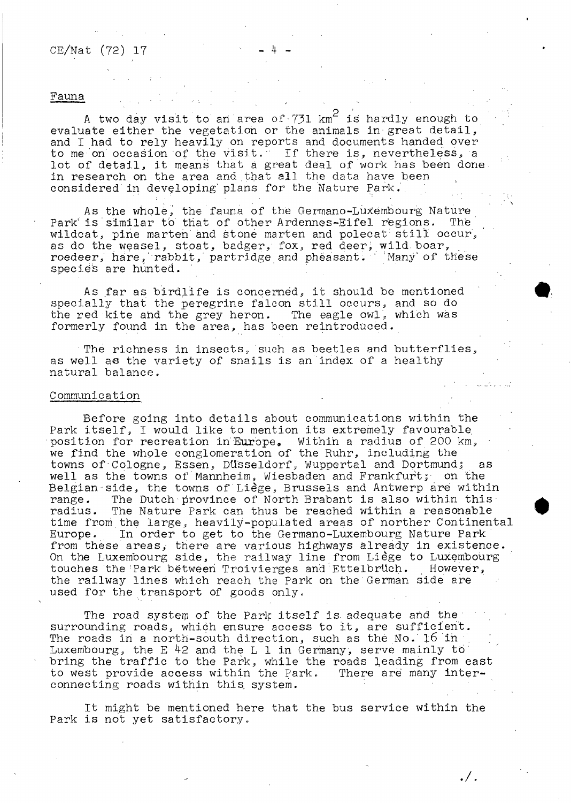# $CE/Nat$  (72) 17

#### **Fauna**

A two day visit to an area of  $731$  km<sup>2</sup> is hardly enough to **evaluate either the vegetation or the animals in great detail, and I had to rely heavily on reports and documents handed over to me on occasion of the visit.' If there is, nevertheless, a lot of detail, it means that a great deal of work has been done in research on the area and ,that all the data have been considered in developing' plans for the Nature Park..**

**As the whole, the fauna of thè Germano-Luxembourg Nature** Park<sup>i</sup> is similar to that of other Ardennes-Eifel regions. The wildcat, pine marten and stone marten and polecat still occur, **as do the weasel, stoat, badger, fox, red deer; wild boar, roedeer, hare rabbit,' partridge and pheasant. " 'Many' of these species are hunted.**

**As far as birdlife is concerned, it should be mentioned specially that the peregrine falcon still occurs, and so do the red kite and the grey heron. The eagle owl, which was formerly found in the area, has been reintroduced.**

**The richness in insects, such as beetles and butterflies, as well as the variety of snails is an index of a healthy natural balance.**

#### **Communication**

**Before going into details about communications within the Park itself, I would like to mention its extremely favourable** position for recreation in Europe. Within a radius of 200 km, **we find the whole conglomeration of the Ruhr, including the towns of-Cologne, Essen, Düsseldorf, Wuppertal and Dortmundj as well as the towns of Mannheim, Wiesbaden and Frankfurtj on the Belgian side, the towns of Liège, Brussels and Antwerp are within range. The Dutch province of North Brabant is also within this radius. The Nature Park can thus be reached within a reasonable time from.the large, heavily-populated areas of norther Continental Europe. In order to get to the Germano-Luxembourg Nature Park from these areas, there are various highways already in existence. On the Luxembourg side, the railway line from Liège to Luxembourg** touches the Park between Troivierges and Ettelbrüch. **the railway lines which reach the Park on the German side are used for the transport of goods only.**

**The road system of the Park itself is. adequate and the surrounding roads, which ensure access to it, are sufficient. The roads in a north-south direction, such as the No.'16 in** Luxembourg, the E<sup>42</sup> and the L 1 in Germany, serve mainly to bring the traffic to the Park, while the roads leading from east<br>to west provide access within the Park. There are many interto west provide access within the Park. **connecting roads within this, system.**

**It might be mentioned here that the bus service within the Park is not yet satisfactory.**

./.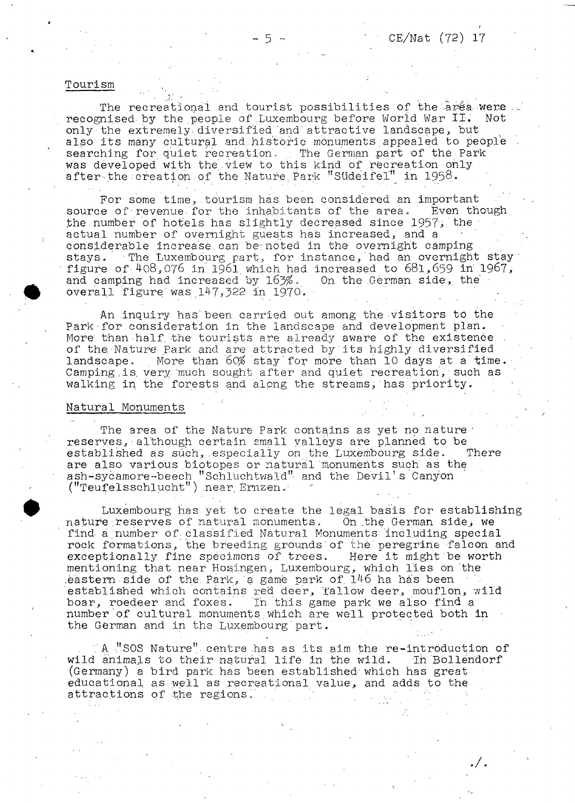#### **Tourism**

**The recreational and tourist possibilities of the arêa were . . recognised by the people of Luxembourg before World War II. Not only the extremely-diversified and' attractive landscape, but, also its many cultural and,historic monuments appealed to people searching for quiet recreation.. .. The German part of thé Park was developed with the'.view to this kind of recreation only after-the creation, of the Nature;Park " Südei fei'" in 1958.**

For some time, tourism has been considered an important<br>e of revenue for the inhabitants of the area. Even though source of revenue for the inhabitants of the area. **the.number of hotels has slightly decreased since 1957', the**  actual number of overnight guests has increased, and a **considerable increase.can be;noted in the overnight camping stays. The Luxembourg part, for instance, had an overnight stay' figure of 408,076 in 1961. which had increased to 681,659 in' 1967,** and camping had increased by 163%. **overall figure'was 147,522 in 1970. -**

**•An inquiry has' been carried out among the visitors to the** Park for consideration in the landscape and development plan. More than half the tourists are already aware of the existence **of the Nature- Park and are attracted by its highly diversified** landscape. More than 60% stay for more than 10 days at a time. **Camping.,is. very- much sought after and quiet recreation, • such as walking in the forests and along the streams,'has priority.**

#### **Natural Monuments**

The area of the Nature Park contains as yet no nature **reserves,■although certain small valleys are planned to be established as such,.especially on the, Luxembourg side. There are also various.biotopes or natural monuments such as the ash-sycamore-beech "Schiuchtwald" and the Devil's Canyon** ("Teufelsschlucht") near Ernzen.<sup>\*</sup>

**Luxembourg has yet to create the legal basis for establishing** nature reserves of natural monuments. On the German side, we find a number of classified Natural Monuments including special **rock formations, the breeding grounds'of thè peregrine falcon and exceptionally fine specimens of trees. Here it might be worth mentioning that near Hosingen, Luxembourg, which lies on the .eastern side of the. Park, a game park of. 146 ha has been** established which contains red deer, fallow deer, mouflon, wild<br>boar, roedeer and foxes. In this game park we also find a In this game park we also find a **number of cultural monuments which are well protected both in the German and in the Luxembourg'part. :**

**.'A "SOS Nature". centre .has as its aim the re-introduction of** wild animals to their natural life in the wild. In Bollendorf **(Germany) a bird park has been established-' which has great educational, as -well as recreational value, and adds to the attractions of the regions.' 7**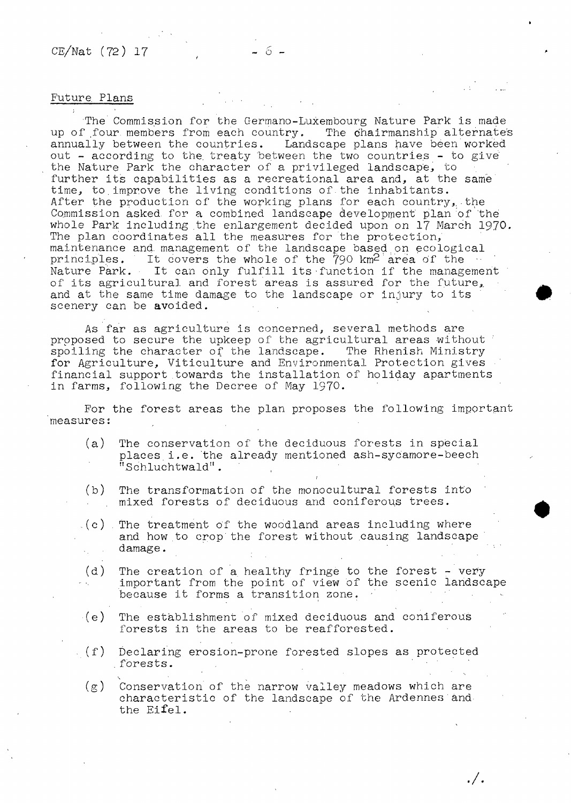### **Future. Plans**

**\**

The Commission for the Germano-Luxembourg Nature Park is made<br>' four members from each country. The chairmanship alternates up of four members from each country.<br>annually between the countries. Land Landscape plans have been worked **out - according to the. treaty 'between the two countries - to give' the Nature Park the character of a privileged landscape, to further its capabilities as a recreational area and, at the same** time, to improve the living conditions of the inhabitants. **After the production of the working plans for each country,, the Commission asked, for a combined landscape development plan of the whole Park including the enlargement decided upon on 17 March 19.70. The plan coordinates all the measures for the protection, maintenance and- management of the landscape based,on ecological** principles. It covers the whole of the 790 km<sup>2</sup> area of the  $\cdot\cdot\cdot$ **Nature Park. It can only fulfill its'function if the management of its agricultural, and forest areas is assured for the future,, and at the same time damage to the landscape or injury to its scenery can be avoided.**

**As far as agriculture is concerned, several methods are proposed to secure the upkeep of the agricultural areas without spoiling the character of the landscape. The Rhenish Ministry for Agriculture, Viticulture and Environmental Protection gives financial support towards the installation of holiday apartments in farms, following the Decree of May 1970.**

**For the forest areas the plan proposes the following important measures:**

**(a) The conservation of the deciduous forests in special places.i.e. the already mentioned ash-sycamore-beech "Schluchtwald".**

f

- **(b) The transformation of the** *monocultura!* **forests into mixed forests of deciduous and coniferous trees.**
- **..(c) . The treatment of the woodland areas including where and how to crop'the forest without causing landscape damage.**
- **(d) The creation of a. healthy fringe to the forest very important from the point of view of the scenic landscape** because it forms a transition zone.
- **(e) The establishment of mixed deciduous and coniferous forests in the areas to be reafforested.**
- **-.(f) Declaring erosion-prone forested slopes as protected .forests.**

**(g) Conservation of the narrow valley meadows which are characteristic of the landscape of the Ardennes and the Eifel.**

 $./.$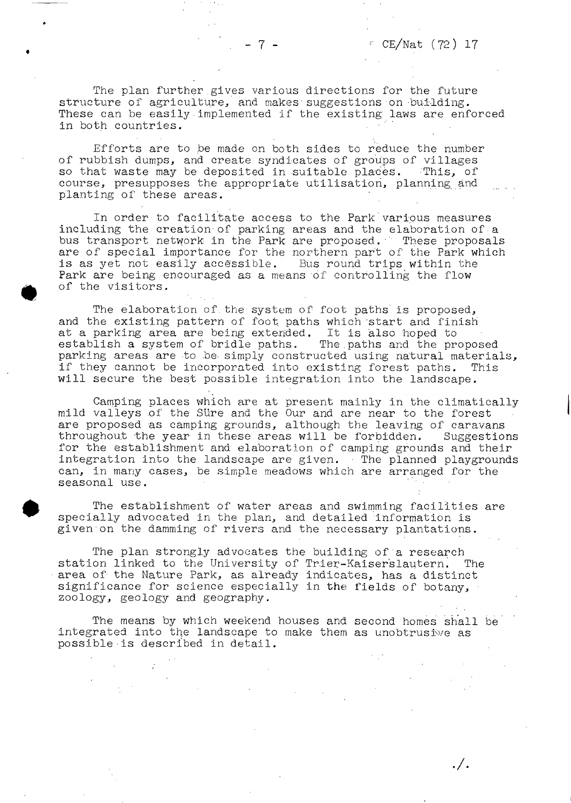$. / .$ 

**The plan further.gives various directions for the future structure of agriculture, and makes'suggestions on-building. These can be easily implemented if the existing laws are enforced in both countries. '**

**Efforts are to be made on both sides to reduce the number of rubbish dumps, and create syndicates of groups of villages so that waste may be deposited in suitable places. -This, of course, presupposes the appropriate utilisation, planning and planting of these areas.**

**In order to facilitate access to the.Park various measures including the creation-of parking areas and the elaboration of a bus transport network in the Park are proposed.' These proposals are of special importance for the northern part of the Park which** is as yet not easily accessible. Bus round trips within the **Park are being encouraged as a means of controlling the flow of the visitors.**

**The elaboration of.the system of foot paths is proposed, and the existing pattern of foot paths which start and finish at a parking area are being extended. It is also hoped to establish a system of bridle paths. The.paths and the proposed parking areas are to .be. simply constructed using natural materials, if they cannot be incorporated into existing forest paths. This will secure the best possible integration into the landscape.**

**Camping places which are at present mainly in the climatically mild valleys of the Süre and the Our and are near to the forest are proposed as camping grounds, although the leaving of caravans throughout the year in these areas will be forbidden. Suggestions for the establishment and elaboration of camping grounds and their integration into the landscape are given. ■ The planned playgrounds can, in many cases, be simple meadows which are arranged for the** seasonal use.

**The establishment of' water areas and swimming facilities are specially advocated in the plan, and detailed information is given on the damming of rivers and the necessary plantations.**

**The plan strongly advocates the building of a research station linked to the University of Trier-Kaiserslautern. The area of- the Nature Park, as already indicates, has a distinct significance for science especially in the fields of botany, zoology, geology and geography.**

**The means by which weekend houses and second homes shall be integrated into the landscape to make them as unobtrusive as possible is described in detail.**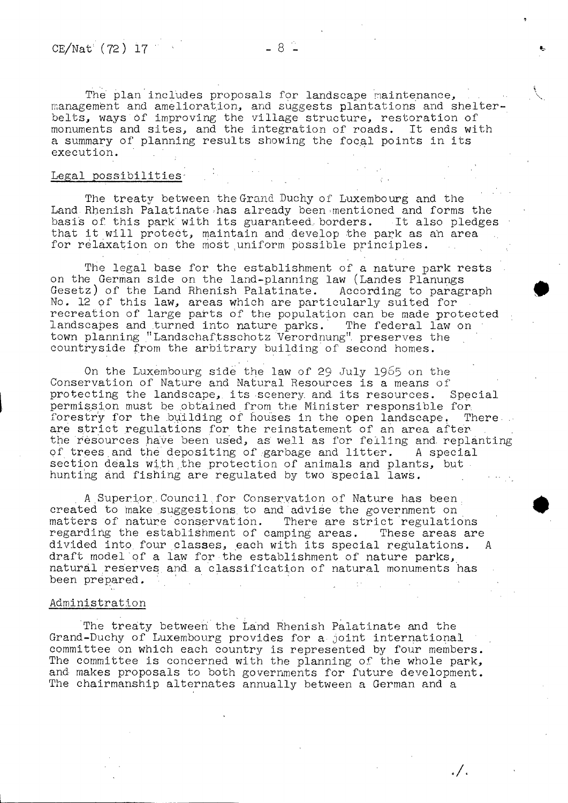The plan includes proposals for landscape maintenance, management and amelioration, and suggests plantations and shelter**belts, ways òf improving the village structure, restoration of monuments and sites, and the integration of roads. It ends with a summary of planning results showing the focal points in its execution.**

#### **Legal possibilities-**

**The treaty between the Grand Duchy of Luxembourg and the** Land Rhenish Palatinate has already been mentioned and forms the **basis of. this park'with its guaranteed, borders. It also pledges that it will protect, maintain and develop the park as an area for relaxation on the most uniform possible principles.**

**The legal base for the establishment of a nature park rests on the German side on the land-planning law (Landes Planungs Gesetz) of the Land Rhenish Palatinate. According to paragraph No. 12 of this law, areas which are particularly suited for recreation of large parts of the population can be made protected landscapes and turned into nature parks. The federal law on ■ town planning "Landschaf.tsschotz Verordnung", preserves the countryside from the arbitrary building of second homes.**

**On the Luxembourg side the law of 29 July I965 on the Conservation of Nature and Natural Resources is a means of protecting the landscape,, its scenery, and. its resources. Special permission must be obtained from the Minister responsible for,** forestry for the building of houses in the open landscape. There **are strict regulations for the reinstatement of an area after the resources have been used, as' well as for felling and. replanting of trees.and the depositing of .garbage and litter. A special** section deals with the protection of animals and plants, but hunting and fishing are regulated by two special laws.

**A .Superior,. Council, for Conservation of Nature has been,** created to make suggestions to and advise the government on **matters of nature conservation. There are strict regulations regarding the establishment of camping areas. These areas are divided into four classes, each with its special regulations. A draft model of a law for the establishment of nature parks, natural reserves and. a classification of natural monuments has been prepared.**

#### **Administration**

**The treaty between the Land Rhenish Palatinate and the Grand-Duchy of Luxembourg provides for a joint international committee on which each country is represented by four members. The committee is concerned with the planning of the whole park, and makes proposals to both governments for future development. The chairmanship alternates annually between a German and a**

. / .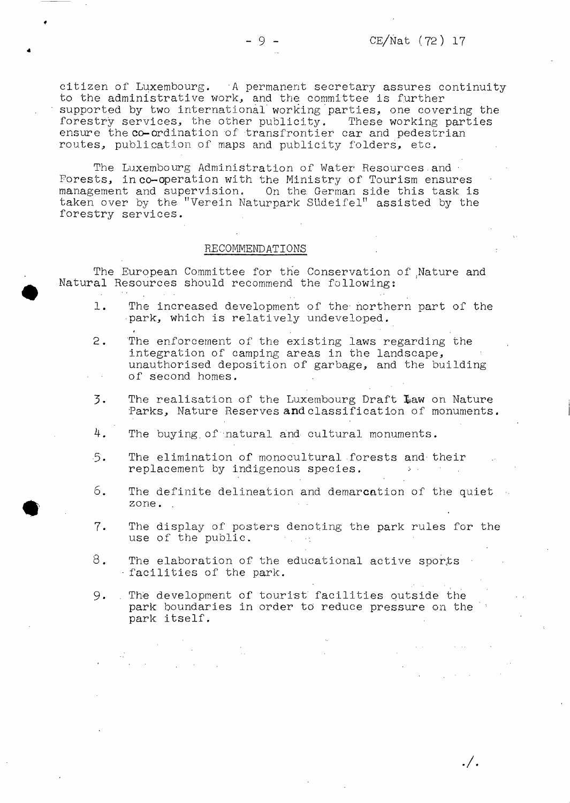$\cdot /$  .

**citizen of Luxembourg. A permanent secretary assures continuity to the administrative work., and the. committee is further supported by two international working parties, one covering the forestry services, the other publicity. These working parties ensure the co-ordination of transfrontier car and pedestrian routes, publication of maps and publicity folders, etc.**

The Luxembourg Administration of Water Resources and **Forests, in co-operation with the Ministry of Tourism ensures management and supervision. On the German side this task is taken over by the "Verein Naturpark Südeifel" assisted by the forestry services.**

#### **RECOMMENDATIONS**

**The European Committee for the Conservation of Rature and Natural Resources should recommend the following:**

- **1. The increased development of the- northern part of the park, which is relatively undeveloped.**
- **2. The enforcement of the existing laws regarding the integration of camping areas in the landscape, unauthorised deposition of garbage, and the building of second homes.**
- **3.** The realisation of the Luxembourg Draft Law on Nature **Parks, Nature Reserves and classification of monuments.**
- **4. The buying, of natural and cultural monuments.**
- 5. The elimination of monocultural forests and their **replacement** by indigenous species.
- **6. The definite delineation and demarcation of the quiet zone. .**
- **7- The display of posters denoting the park rules for the use of the public.**
- **8. The elaboration of the educational active sports ■ facilities of the park.**
- **9. . The development of tourist facilities outside the park boundaries in order to reduce pressure on the park itself.**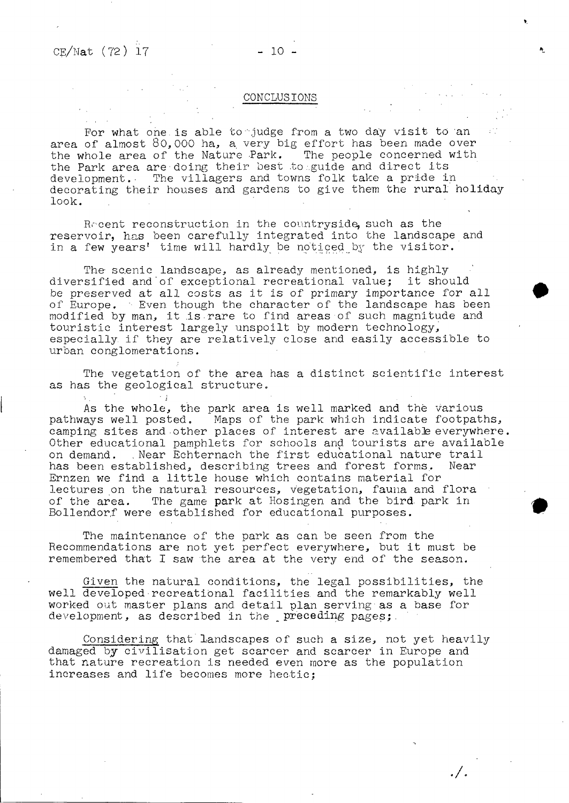#### **CONCLUSIONS**

**For what one.is able to "judge from a two day visit to an area of almost 80, 000 ha, a. very big effort has been made over the whole area of the Nature Park. The people concerned with the Park area are-doing their best to ..guide and direct its development.- The villagers and towns folk take a pride in decorating their houses and gardens to give them the rural holiday look.**

Recent reconstruction in the countryside, such as the **reservoir, has been carefully integrated into the landscape and in a few years' time will hardly be noticed by the visitor.**

**The- scenic landscape, as already mentioned, is highly diversified and of exceptional recreational value; it should be preserved at all costs as it is of primary importance for all of Europe. ' Even though the character of the landscape has been modified by man, it .is rare to find areas of such magnitude and touristic interest largely unspoilt by modern technology, especially, if they are relatively close and easily accessible to urban conglomerations.**

**The vegetation of the area has a distinct scientific interest as has the geological structure.**

**As the whole, the park area is well marked and thè various pathways well posted. Maps of the park which indicate footpaths,** camping sites and other places of interest are available everywhere. **Other educational pamphlets for schools and tourists are available on demand. ..Near Echternach the first educational nature trail has been established, describing trees and forest forms. Near Ernzen we find a little house which contains material for lectures on the natural resources, vegetation, fauna and flora of the area. The game park at Hosingen and the bird, park in Bollendorf were established for educational purposes.**

**The maintenance of the park as can be seen from the Recommendations are not yet perfect everywhere, but it must be remembered that I saw the area at the very end of the season.**

**Given the natural conditions, the legal possibilities, the well developed recreational facilities, and the remarkably well worked out master plans and detail plan serving as a base for development, as described in the \_preceding pages;.**

**Considering that landscapes of such a size, not yet heavily** damaged by civilisation get scarcer and scarcer in Europe and **that nature recreation is needed even more as the population increases and life becomes more hectic;**

. / .